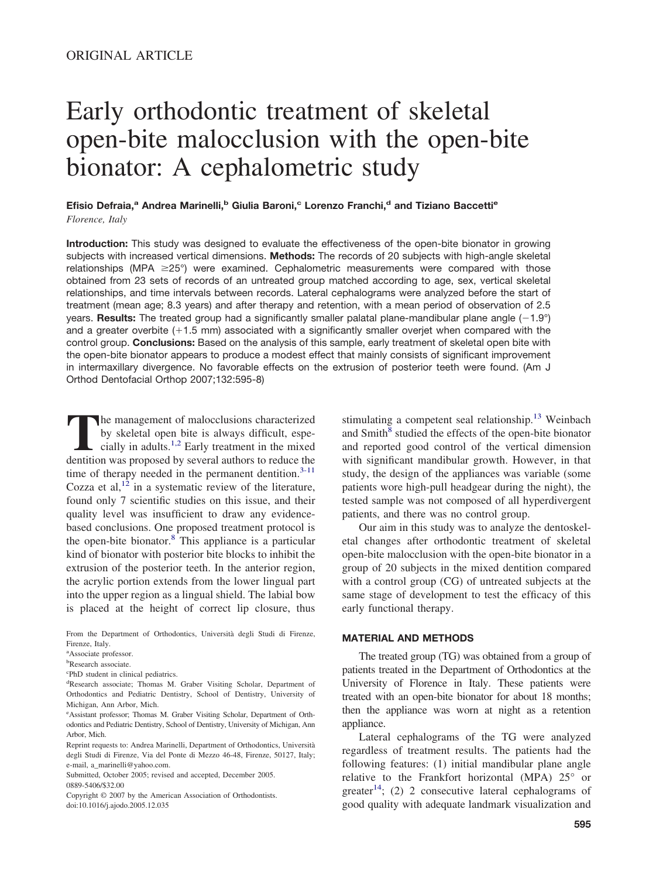# Early orthodontic treatment of skeletal open-bite malocclusion with the open-bite bionator: A cephalometric study

**Efisio Defraia,<sup>a</sup> Andrea Marinelli,<sup>b</sup> Giulia Baroni,<sup>c</sup> Lorenzo Franchi,<sup>d</sup> and Tiziano Baccetti<sup>e</sup>** *Florence, Italy*

**Introduction:** This study was designed to evaluate the effectiveness of the open-bite bionator in growing subjects with increased vertical dimensions. **Methods:** The records of 20 subjects with high-angle skeletal relationships (MPA  $\geq$ 25°) were examined. Cephalometric measurements were compared with those obtained from 23 sets of records of an untreated group matched according to age, sex, vertical skeletal relationships, and time intervals between records. Lateral cephalograms were analyzed before the start of treatment (mean age; 8.3 years) and after therapy and retention, with a mean period of observation of 2.5 years. **Results:** The treated group had a significantly smaller palatal plane-mandibular plane angle  $(-1.9^{\circ})$ and a greater overbite (+1.5 mm) associated with a significantly smaller overjet when compared with the control group. **Conclusions:** Based on the analysis of this sample, early treatment of skeletal open bite with the open-bite bionator appears to produce a modest effect that mainly consists of significant improvement in intermaxillary divergence. No favorable effects on the extrusion of posterior teeth were found. (Am J Orthod Dentofacial Orthop 2007;132:595-8)

The management of malocclusions characterized<br>by skeletal open bite is always difficult, espe-<br>cially in adults.<sup>1,2</sup> Early treatment in the mixed<br>dentition was proposed by several authors to reduce the by skeletal open bite is always difficult, espe-cially in adults.<sup>[1,2](#page-3-0)</sup> Early treatment in the mixed dentition was proposed by several authors to reduce the time of therapy needed in the permanent dentition. $3-11$ Cozza et al,  $12$  in a systematic review of the literature, found only 7 scientific studies on this issue, and their quality level was insufficient to draw any evidencebased conclusions. One proposed treatment protocol is the open-bite bionator.[8](#page-3-0) This appliance is a particular kind of bionator with posterior bite blocks to inhibit the extrusion of the posterior teeth. In the anterior region, the acrylic portion extends from the lower lingual part into the upper region as a lingual shield. The labial bow is placed at the height of correct lip closure, thus

From the Department of Orthodontics, Università degli Studi di Firenze, Firenze, Italy.

c PhD student in clinical pediatrics.

Copyright © 2007 by the American Association of Orthodontists. doi:10.1016/j.ajodo.2005.12.035

stimulating a competent seal relationship.<sup>[13](#page-3-0)</sup> Weinbach and Smith<sup>[8](#page-3-0)</sup> studied the effects of the open-bite bionator and reported good control of the vertical dimension with significant mandibular growth. However, in that study, the design of the appliances was variable (some patients wore high-pull headgear during the night), the tested sample was not composed of all hyperdivergent patients, and there was no control group.

Our aim in this study was to analyze the dentoskeletal changes after orthodontic treatment of skeletal open-bite malocclusion with the open-bite bionator in a group of 20 subjects in the mixed dentition compared with a control group (CG) of untreated subjects at the same stage of development to test the efficacy of this early functional therapy.

#### **MATERIAL AND METHODS**

The treated group (TG) was obtained from a group of patients treated in the Department of Orthodontics at the University of Florence in Italy. These patients were treated with an open-bite bionator for about 18 months; then the appliance was worn at night as a retention appliance.

Lateral cephalograms of the TG were analyzed regardless of treatment results. The patients had the following features: (1) initial mandibular plane angle relative to the Frankfort horizontal (MPA) 25° or greater<sup>14</sup>; (2) 2 consecutive lateral cephalograms of good quality with adequate landmark visualization and

a Associate professor.

**b**Research associate.

d Research associate; Thomas M. Graber Visiting Scholar, Department of Orthodontics and Pediatric Dentistry, School of Dentistry, University of Michigan, Ann Arbor, Mich.

e Assistant professor; Thomas M. Graber Visiting Scholar, Department of Orthodontics and Pediatric Dentistry, School of Dentistry, University of Michigan, Ann Arbor, Mich.

Reprint requests to: Andrea Marinelli, Department of Orthodontics, Università degli Studi di Firenze, Via del Ponte di Mezzo 46-48, Firenze, 50127, Italy; e-mail, a\_marinelli@yahoo.com.

Submitted, October 2005; revised and accepted, December 2005. 0889-5406/\$32.00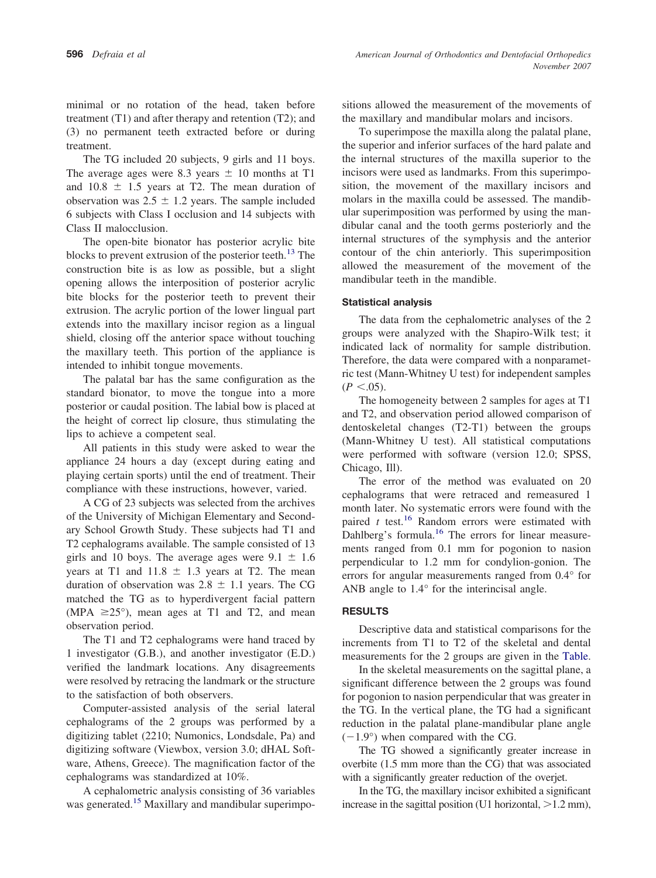minimal or no rotation of the head, taken before treatment (T1) and after therapy and retention (T2); and (3) no permanent teeth extracted before or during treatment.

The TG included 20 subjects, 9 girls and 11 boys. The average ages were 8.3 years  $\pm$  10 months at T1 and  $10.8 \pm 1.5$  years at T2. The mean duration of observation was  $2.5 \pm 1.2$  years. The sample included 6 subjects with Class I occlusion and 14 subjects with Class II malocclusion.

The open-bite bionator has posterior acrylic bite blocks to prevent extrusion of the posterior teeth.<sup>[13](#page-3-0)</sup> The construction bite is as low as possible, but a slight opening allows the interposition of posterior acrylic bite blocks for the posterior teeth to prevent their extrusion. The acrylic portion of the lower lingual part extends into the maxillary incisor region as a lingual shield, closing off the anterior space without touching the maxillary teeth. This portion of the appliance is intended to inhibit tongue movements.

The palatal bar has the same configuration as the standard bionator, to move the tongue into a more posterior or caudal position. The labial bow is placed at the height of correct lip closure, thus stimulating the lips to achieve a competent seal.

All patients in this study were asked to wear the appliance 24 hours a day (except during eating and playing certain sports) until the end of treatment. Their compliance with these instructions, however, varied.

A CG of 23 subjects was selected from the archives of the University of Michigan Elementary and Secondary School Growth Study. These subjects had T1 and T2 cephalograms available. The sample consisted of 13 girls and 10 boys. The average ages were  $9.1 \pm 1.6$ years at T1 and  $11.8 \pm 1.3$  years at T2. The mean duration of observation was  $2.8 \pm 1.1$  years. The CG matched the TG as to hyperdivergent facial pattern (MPA  $\geq$ 25°), mean ages at T1 and T2, and mean observation period.

The T1 and T2 cephalograms were hand traced by 1 investigator (G.B.), and another investigator (E.D.) verified the landmark locations. Any disagreements were resolved by retracing the landmark or the structure to the satisfaction of both observers.

Computer-assisted analysis of the serial lateral cephalograms of the 2 groups was performed by a digitizing tablet (2210; Numonics, Londsdale, Pa) and digitizing software (Viewbox, version 3.0; dHAL Software, Athens, Greece). The magnification factor of the cephalograms was standardized at 10%.

A cephalometric analysis consisting of 36 variables was generated.<sup>[15](#page-3-0)</sup> Maxillary and mandibular superimpositions allowed the measurement of the movements of the maxillary and mandibular molars and incisors.

To superimpose the maxilla along the palatal plane, the superior and inferior surfaces of the hard palate and the internal structures of the maxilla superior to the incisors were used as landmarks. From this superimposition, the movement of the maxillary incisors and molars in the maxilla could be assessed. The mandibular superimposition was performed by using the mandibular canal and the tooth germs posteriorly and the internal structures of the symphysis and the anterior contour of the chin anteriorly. This superimposition allowed the measurement of the movement of the mandibular teeth in the mandible.

### **Statistical analysis**

The data from the cephalometric analyses of the 2 groups were analyzed with the Shapiro-Wilk test; it indicated lack of normality for sample distribution. Therefore, the data were compared with a nonparametric test (Mann-Whitney U test) for independent samples  $(P < .05)$ .

The homogeneity between 2 samples for ages at T1 and T2, and observation period allowed comparison of dentoskeletal changes (T2-T1) between the groups (Mann-Whitney U test). All statistical computations were performed with software (version 12.0; SPSS, Chicago, Ill).

The error of the method was evaluated on 20 cephalograms that were retraced and remeasured 1 month later. No systematic errors were found with the paired *t* test.<sup>[16](#page-3-0)</sup> Random errors were estimated with Dahlberg's formula.<sup>[16](#page-3-0)</sup> The errors for linear measurements ranged from 0.1 mm for pogonion to nasion perpendicular to 1.2 mm for condylion-gonion. The errors for angular measurements ranged from 0.4° for ANB angle to 1.4° for the interincisal angle.

## **RESULTS**

Descriptive data and statistical comparisons for the increments from T1 to T2 of the skeletal and dental measurements for the 2 groups are given in the [Table.](#page-2-0)

In the skeletal measurements on the sagittal plane, a significant difference between the 2 groups was found for pogonion to nasion perpendicular that was greater in the TG. In the vertical plane, the TG had a significant reduction in the palatal plane-mandibular plane angle  $(-1.9^{\circ})$  when compared with the CG.

The TG showed a significantly greater increase in overbite (1.5 mm more than the CG) that was associated with a significantly greater reduction of the overjet.

In the TG, the maxillary incisor exhibited a significant increase in the sagittal position (U1 horizontal,  $>1.2$  mm),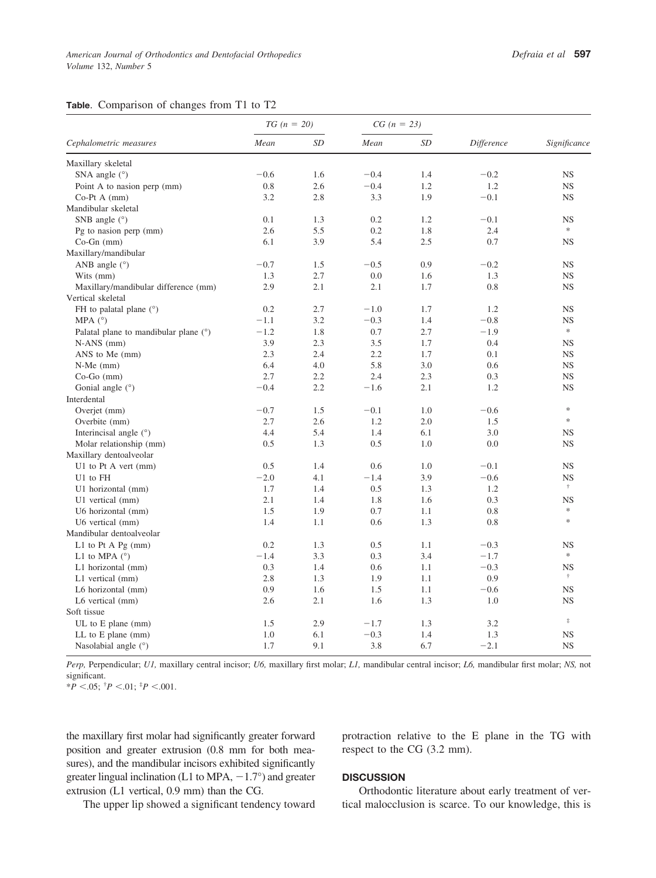#### <span id="page-2-0"></span>**Table**. Comparison of changes from T1 to T2

| Cephalometric measures                         | $TG (n = 20)$ |            | $CG (n = 23)$ |            |               |                        |
|------------------------------------------------|---------------|------------|---------------|------------|---------------|------------------------|
|                                                | Mean          | SD         | Mean          | SD         | Difference    | Significance           |
| Maxillary skeletal                             |               |            |               |            |               |                        |
| SNA angle $(°)$                                | $-0.6$        | 1.6        | $-0.4$        | 1.4        | $-0.2$        | <b>NS</b>              |
| Point A to nasion perp (mm)                    | 0.8           | 2.6        | $-0.4$        | 1.2        | 1.2           | <b>NS</b>              |
| $Co-Pt A$ (mm)                                 | 3.2           | 2.8        | 3.3           | 1.9        | $-0.1$        | <b>NS</b>              |
| Mandibular skeletal                            |               |            |               |            |               |                        |
| SNB angle $(°)$                                | 0.1           | 1.3        | 0.2           | 1.2        | $-0.1$        | <b>NS</b>              |
| Pg to nasion perp (mm)                         | 2.6           | 5.5        | 0.2           | 1.8        | 2.4           | $\ast$                 |
| $Co-Gn$ (mm)                                   | 6.1           | 3.9        | 5.4           | 2.5        | 0.7           | <b>NS</b>              |
| Maxillary/mandibular                           |               |            |               |            |               |                        |
| ANB angle $(°)$                                | $-0.7$        | 1.5        | $-0.5$        | 0.9        | $-0.2$        | <b>NS</b>              |
| Wits (mm)                                      | 1.3           | 2.7        | 0.0           | 1.6        | 1.3           | <b>NS</b>              |
| Maxillary/mandibular difference (mm)           | 2.9           | 2.1        | 2.1           | 1.7        | 0.8           | <b>NS</b>              |
| Vertical skeletal                              |               |            |               |            |               |                        |
| FH to palatal plane $(°)$                      | 0.2           | 2.7        | $-1.0$        | 1.7        | 1.2           | <b>NS</b>              |
| MPA $(^{\circ})$                               | $-1.1$        | 3.2        | $-0.3$        | 1.4        | $-0.8$        | <b>NS</b>              |
| Palatal plane to mandibular plane (°)          | $-1.2$        | 1.8        | 0.7           | 2.7        | $-1.9$        | $\frac{1}{2} \xi$      |
| $N-ANS$ (mm)                                   | 3.9           | 2.3        | 3.5           | 1.7        | 0.4           | <b>NS</b>              |
| ANS to Me (mm)                                 | 2.3           | 2.4        | 2.2           | 1.7        | 0.1           | <b>NS</b>              |
| $N-Me$ (mm)                                    | 6.4           | 4.0        | 5.8           | 3.0        | 0.6           | <b>NS</b>              |
| $Co-Go$ (mm)                                   | 2.7           | 2.2        | 2.4           | 2.3        | 0.3           | <b>NS</b>              |
| Gonial angle $(°)$                             | $-0.4$        | 2.2        | $-1.6$        | 2.1        | 1.2           | NS                     |
| Interdental                                    |               |            |               |            |               |                        |
| Overjet (mm)                                   | $-0.7$        | 1.5        | $-0.1$        | 1.0        | $-0.6$        | $\frac{1}{2}$          |
| Overbite (mm)                                  | 2.7           | 2.6        | 1.2           | 2.0        | 1.5           | $\ast$                 |
| Interincisal angle (°)                         | 4.4           | 5.4        | 1.4           | 6.1        | 3.0           | <b>NS</b>              |
| Molar relationship (mm)                        | 0.5           | 1.3        | 0.5           | 1.0        | 0.0           | <b>NS</b>              |
| Maxillary dentoalveolar                        |               |            |               |            |               |                        |
| U1 to Pt A vert (mm)                           | 0.5           | 1.4        | 0.6           | 1.0        | $-0.1$        | <b>NS</b>              |
| U1 to FH                                       | $-2.0$        | 4.1        | $-1.4$        | 3.9        | $-0.6$        | <b>NS</b>              |
| U1 horizontal (mm)                             | 1.7           | 1.4        | 0.5           | 1.3        | 1.2           | ÷.                     |
| U1 vertical (mm)                               | 2.1           | 1.4        | 1.8           | 1.6        | 0.3           | <b>NS</b>              |
| U6 horizontal (mm)                             | 1.5           | 1.9        | 0.7           | 1.1        | 0.8           | $\approx$              |
| U6 vertical (mm)                               | 1.4           | 1.1        | 0.6           | 1.3        | 0.8           | $\frac{1}{2}$          |
| Mandibular dentoalveolar                       |               |            |               |            |               |                        |
| L1 to Pt A $Pg$ (mm)                           | 0.2           | 1.3        | 0.5           | 1.1        | $-0.3$        | <b>NS</b>              |
| L1 to MPA $(^\circ)$                           | $-1.4$        | 3.3        | 0.3           | 3.4        | $-1.7$        | $\ast$                 |
| L1 horizontal (mm)                             | 0.3           | 1.4        | 0.6           | 1.1        | $-0.3$        | <b>NS</b>              |
| L1 vertical (mm)                               | 2.8           | 1.3        | 1.9           | 1.1        | 0.9           | ÷.                     |
| L6 horizontal (mm)                             | 0.9           | 1.6        | 1.5           | 1.1        | $-0.6$        | <b>NS</b>              |
| L6 vertical (mm)                               | 2.6           | 2.1        | 1.6           | 1.3        | 1.0           | <b>NS</b>              |
| Soft tissue                                    |               |            |               |            |               |                        |
| UL to E plane (mm)                             | 1.5           | 2.9        | $-1.7$        | 1.3        | 3.2           | $\ddagger$             |
|                                                |               |            |               |            |               |                        |
|                                                |               |            |               |            |               |                        |
| $LL$ to $E$ plane (mm)<br>Nasolabial angle (°) | 1.0<br>1.7    | 6.1<br>9.1 | $-0.3$<br>3.8 | 1.4<br>6.7 | 1.3<br>$-2.1$ | <b>NS</b><br><b>NS</b> |

*Perp,* Perpendicular; *U1,* maxillary central incisor; *U6,* maxillary first molar; *L1,* mandibular central incisor; *L6,* mandibular first molar; *NS,* not significant.

the maxillary first molar had significantly greater forward position and greater extrusion (0.8 mm for both measures), and the mandibular incisors exhibited significantly greater lingual inclination (L1 to MPA,  $-1.7^{\circ}$ ) and greater extrusion (L1 vertical, 0.9 mm) than the CG.

protraction relative to the E plane in the TG with respect to the CG (3.2 mm).

#### **DISCUSSION**

Orthodontic literature about early treatment of vertical malocclusion is scarce. To our knowledge, this is

The upper lip showed a significant tendency toward

 $*P < 0.05$ ;  $^{\dagger}P < 0.01$ ;  $^{\dagger}P < 0.01$ .